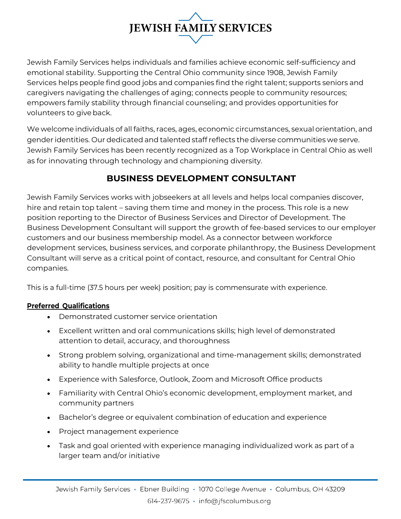# **JEWISH FAMILY SERVICES**

Jewish Family Services helps individuals and families achieve economic self-sufficiency and emotional stability. Supporting the Central Ohio community since 1908, Jewish Family Services helps people find good jobs and companies find the right talent; supports seniors and caregivers navigating the challenges of aging; connects people to community resources; empowers family stability through financial counseling; and provides opportunities for volunteers to give back.

We welcome individuals of all faiths, races, ages, economic circumstances, sexual orientation, and gender identities. Our dedicated and talented staff reflects the diverse communities we serve. Jewish Family Services has been recently recognized as a Top Workplace in Central Ohio as well as for innovating through technology and championing diversity.

# **BUSINESS DEVELOPMENT CONSULTANT**

Jewish Family Services works with jobseekers at all levels and helps local companies discover, hire and retain top talent – saving them time and money in the process. This role is a new position reporting to the Director of Business Services and Director of Development. The Business Development Consultant will support the growth of fee-based services to our employer customers and our business membership model. As a connector between workforce development services, business services, and corporate philanthropy, the Business Development Consultant will serve as a critical point of contact, resource, and consultant for Central Ohio companies.

This is a full-time (37.5 hours per week) position; pay is commensurate with experience.

# **Preferred Qualifications**

- Demonstrated customer service orientation
- Excellent written and oral communications skills; high level of demonstrated attention to detail, accuracy, and thoroughness
- Strong problem solving, organizational and time-management skills; demonstrated ability to handle multiple projects at once
- Experience with Salesforce, Outlook, Zoom and Microsoft Office products
- Familiarity with Central Ohio's economic development, employment market, and community partners
- Bachelor's degree or equivalent combination of education and experience
- Project management experience
- Task and goal oriented with experience managing individualized work as part of a larger team and/or initiative